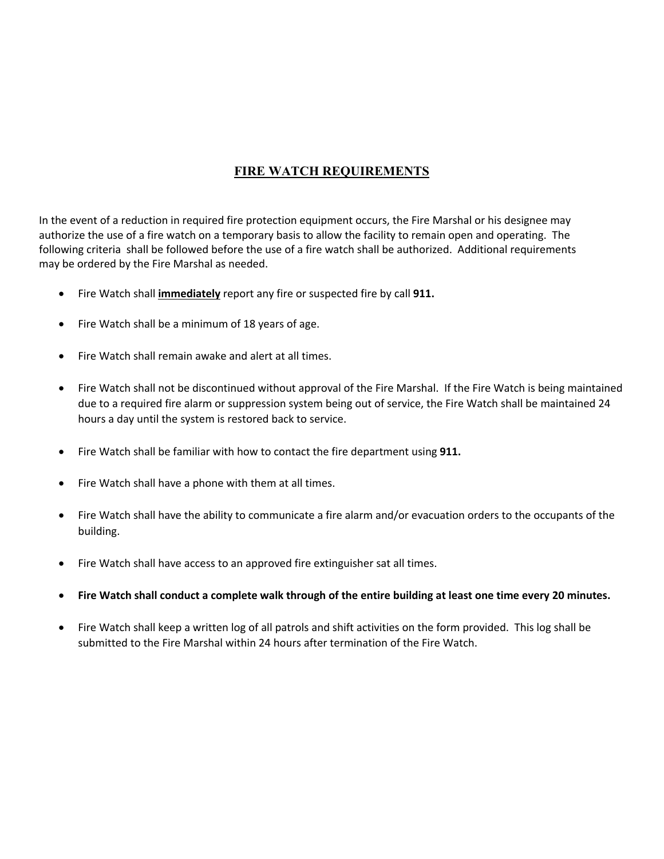## **FIRE WATCH REQUIREMENTS**

In the event of a reduction in required fire protection equipment occurs, the Fire Marshal or his designee may authorize the use of a fire watch on a temporary basis to allow the facility to remain open and operating. The following criteria shall be followed before the use of a fire watch shall be authorized. Additional requirements may be ordered by the Fire Marshal as needed.

- Fire Watch shall **immediately** report any fire or suspected fire by call **911.**
- Fire Watch shall be a minimum of 18 years of age.
- Fire Watch shall remain awake and alert at all times.
- Fire Watch shall not be discontinued without approval of the Fire Marshal. If the Fire Watch is being maintained due to a required fire alarm or suppression system being out of service, the Fire Watch shall be maintained 24 hours a day until the system is restored back to service.
- Fire Watch shall be familiar with how to contact the fire department using **911.**
- Fire Watch shall have a phone with them at all times.
- Fire Watch shall have the ability to communicate a fire alarm and/or evacuation orders to the occupants of the building.
- Fire Watch shall have access to an approved fire extinguisher sat all times.
- **Fire Watch shall conduct a complete walk through of the entire building at least one time every 20 minutes.**
- Fire Watch shall keep a written log of all patrols and shift activities on the form provided. This log shall be submitted to the Fire Marshal within 24 hours after termination of the Fire Watch.